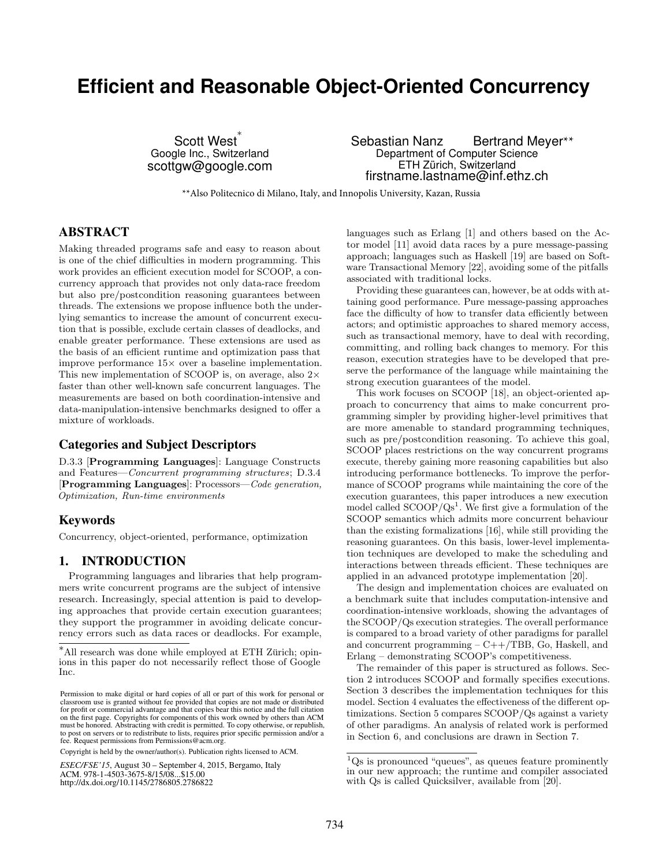# **Efficient and Reasonable Object-Oriented Concurrency**

Scott West<sup>\*</sup> Google Inc., Switzerland scottgw@google.com

Sebastian Nanz Bertrand Meyer\*\* Department of Computer Science ETH Zürich, Switzerland firstname.lastname@inf.ethz.ch

\*\*Also Politecnico di Milano, Italy, and Innopolis University, Kazan, Russia

# ABSTRACT

Making threaded programs safe and easy to reason about is one of the chief difficulties in modern programming. This work provides an efficient execution model for SCOOP, a concurrency approach that provides not only data-race freedom but also pre/postcondition reasoning guarantees between threads. The extensions we propose influence both the underlying semantics to increase the amount of concurrent execution that is possible, exclude certain classes of deadlocks, and enable greater performance. These extensions are used as the basis of an efficient runtime and optimization pass that improve performance  $15\times$  over a baseline implementation. This new implementation of SCOOP is, on average, also  $2\times$ faster than other well-known safe concurrent languages. The measurements are based on both coordination-intensive and data-manipulation-intensive benchmarks designed to offer a mixture of workloads.

## Categories and Subject Descriptors

D.3.3 [Programming Languages]: Language Constructs and Features—Concurrent programming structures; D.3.4 [Programming Languages]: Processors—Code generation, Optimization, Run-time environments

# Keywords

Concurrency, object-oriented, performance, optimization

# 1. INTRODUCTION

Programming languages and libraries that help programmers write concurrent programs are the subject of intensive research. Increasingly, special attention is paid to developing approaches that provide certain execution guarantees; they support the programmer in avoiding delicate concurrency errors such as data races or deadlocks. For example,

Copyright is held by the owner/author(s). Publication rights licensed to ACM.

*ESEC/FSE'15*, August 30 – September 4, 2015, Bergamo, Italy ACM. 978-1-4503-3675-8/15/08...\$15.00 http://dx.doi.org/10.1145/2786805.2786822

languages such as Erlang [1] and others based on the Actor model [11] avoid data races by a pure message-passing approach; languages such as Haskell [19] are based on Software Transactional Memory [22], avoiding some of the pitfalls associated with traditional locks.

Providing these guarantees can, however, be at odds with attaining good performance. Pure message-passing approaches face the difficulty of how to transfer data efficiently between actors; and optimistic approaches to shared memory access, such as transactional memory, have to deal with recording, committing, and rolling back changes to memory. For this reason, execution strategies have to be developed that preserve the performance of the language while maintaining the strong execution guarantees of the model.

This work focuses on SCOOP [18], an object-oriented approach to concurrency that aims to make concurrent programming simpler by providing higher-level primitives that are more amenable to standard programming techniques, such as pre/postcondition reasoning. To achieve this goal, SCOOP places restrictions on the way concurrent programs execute, thereby gaining more reasoning capabilities but also introducing performance bottlenecks. To improve the performance of SCOOP programs while maintaining the core of the execution guarantees, this paper introduces a new execution model called  $SCOOP/Qs<sup>1</sup>$ . We first give a formulation of the SCOOP semantics which admits more concurrent behaviour than the existing formalizations [16], while still providing the reasoning guarantees. On this basis, lower-level implementation techniques are developed to make the scheduling and interactions between threads efficient. These techniques are applied in an advanced prototype implementation [20].

The design and implementation choices are evaluated on a benchmark suite that includes computation-intensive and coordination-intensive workloads, showing the advantages of the SCOOP/Qs execution strategies. The overall performance is compared to a broad variety of other paradigms for parallel and concurrent programming – C++/TBB, Go, Haskell, and Erlang – demonstrating SCOOP's competitiveness.

The remainder of this paper is structured as follows. Section 2 introduces SCOOP and formally specifies executions. Section 3 describes the implementation techniques for this model. Section 4 evaluates the effectiveness of the different optimizations. Section 5 compares SCOOP/Qs against a variety of other paradigms. An analysis of related work is performed in Section 6, and conclusions are drawn in Section 7.

<sup>∗</sup>All research was done while employed at ETH Zurich; opin- ¨ ions in this paper do not necessarily reflect those of Google Inc.

Permission to make digital or hard copies of all or part of this work for personal or classroom use is granted without fee provided that copies are not made or distributed for profit or commercial advantage and that copies bear this notice and the full citation on the first page. Copyrights for components of this work owned by others than ACM must be honored. Abstracting with credit is permitted. To copy otherwise, or republish, to post on servers or to redistribute to lists, requires prior specific permission and/or a fee. Request permissions from Permissions@acm.org.

 ${}^{1}$ Qs is pronounced "queues", as queues feature prominently in our new approach; the runtime and compiler associated with Qs is called Quicksilver, available from [20].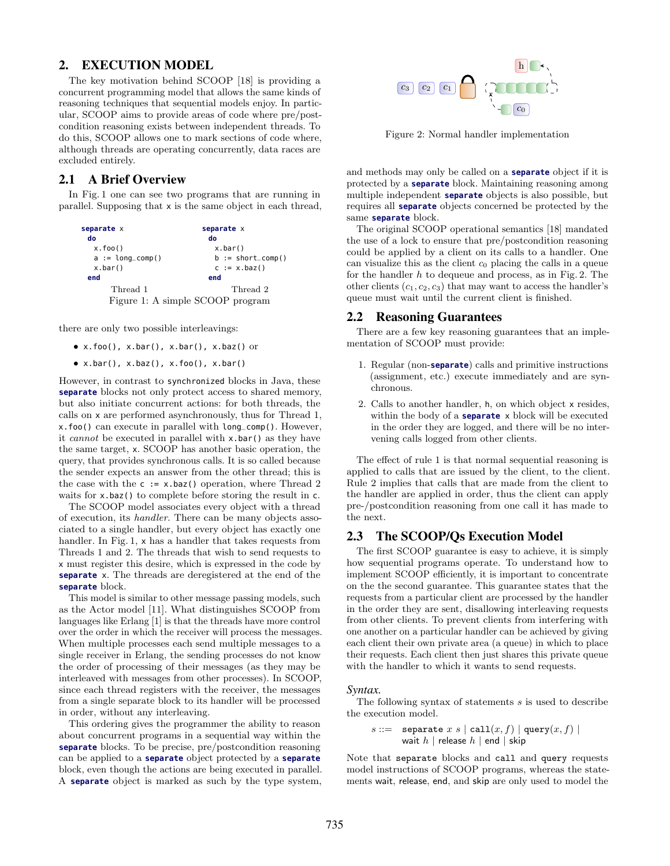# 2. EXECUTION MODEL

The key motivation behind SCOOP [18] is providing a concurrent programming model that allows the same kinds of reasoning techniques that sequential models enjoy. In particular, SCOOP aims to provide areas of code where pre/postcondition reasoning exists between independent threads. To do this, SCOOP allows one to mark sections of code where, although threads are operating concurrently, data races are excluded entirely.

# 2.1 A Brief Overview

In Fig. 1 one can see two programs that are running in parallel. Supposing that x is the same object in each thread,



there are only two possible interleavings:

- $\bullet$  x.foo(), x.bar(), x.bar(), x.baz() or
- $x.bar()$ ,  $x.baz()$ ,  $x.foo()$ ,  $x.bar()$

However, in contrast to synchronized blocks in Java, these **separate** blocks not only protect access to shared memory, but also initiate concurrent actions: for both threads, the calls on x are performed asynchronously, thus for Thread 1, x.foo() can execute in parallel with long\_comp(). However, it cannot be executed in parallel with x.bar() as they have the same target, x. SCOOP has another basic operation, the query, that provides synchronous calls. It is so called because the sender expects an answer from the other thread; this is the case with the  $c := x \cdot baz$  operation, where Thread 2 waits for x.baz() to complete before storing the result in c.

The SCOOP model associates every object with a thread of execution, its handler. There can be many objects associated to a single handler, but every object has exactly one handler. In Fig. 1, x has a handler that takes requests from Threads 1 and 2. The threads that wish to send requests to x must register this desire, which is expressed in the code by **separate** x. The threads are deregistered at the end of the **separate** block.

This model is similar to other message passing models, such as the Actor model [11]. What distinguishes SCOOP from languages like Erlang [1] is that the threads have more control over the order in which the receiver will process the messages. When multiple processes each send multiple messages to a single receiver in Erlang, the sending processes do not know the order of processing of their messages (as they may be interleaved with messages from other processes). In SCOOP, since each thread registers with the receiver, the messages from a single separate block to its handler will be processed in order, without any interleaving.

This ordering gives the programmer the ability to reason about concurrent programs in a sequential way within the **separate** blocks. To be precise, pre/postcondition reasoning can be applied to a **separate** object protected by a **separate** block, even though the actions are being executed in parallel. A **separate** object is marked as such by the type system,



Figure 2: Normal handler implementation

and methods may only be called on a **separate** object if it is protected by a **separate** block. Maintaining reasoning among multiple independent **separate** objects is also possible, but requires all **separate** objects concerned be protected by the same **separate** block.

The original SCOOP operational semantics [18] mandated the use of a lock to ensure that pre/postcondition reasoning could be applied by a client on its calls to a handler. One can visualize this as the client  $c_0$  placing the calls in a queue for the handler  $h$  to dequeue and process, as in Fig. 2. The other clients  $(c_1, c_2, c_3)$  that may want to access the handler's queue must wait until the current client is finished.

### 2.2 Reasoning Guarantees

There are a few key reasoning guarantees that an implementation of SCOOP must provide:

- 1. Regular (non-**separate**) calls and primitive instructions (assignment, etc.) execute immediately and are synchronous.
- 2. Calls to another handler, h, on which object x resides, within the body of a **separate** x block will be executed in the order they are logged, and there will be no intervening calls logged from other clients.

The effect of rule 1 is that normal sequential reasoning is applied to calls that are issued by the client, to the client. Rule 2 implies that calls that are made from the client to the handler are applied in order, thus the client can apply pre-/postcondition reasoning from one call it has made to the next.

# 2.3 The SCOOP/Qs Execution Model

The first SCOOP guarantee is easy to achieve, it is simply how sequential programs operate. To understand how to implement SCOOP efficiently, it is important to concentrate on the the second guarantee. This guarantee states that the requests from a particular client are processed by the handler in the order they are sent, disallowing interleaving requests from other clients. To prevent clients from interfering with one another on a particular handler can be achieved by giving each client their own private area (a queue) in which to place their requests. Each client then just shares this private queue with the handler to which it wants to send requests.

#### *Syntax.*

The following syntax of statements s is used to describe the execution model.

$$
s ::= \text{ separate } x s \mid \text{call}(x, f) \mid \text{query}(x, f) \mid
$$
  
wait h \mid release h \mid end \mid skip

Note that separate blocks and call and query requests model instructions of SCOOP programs, whereas the statements wait, release, end, and skip are only used to model the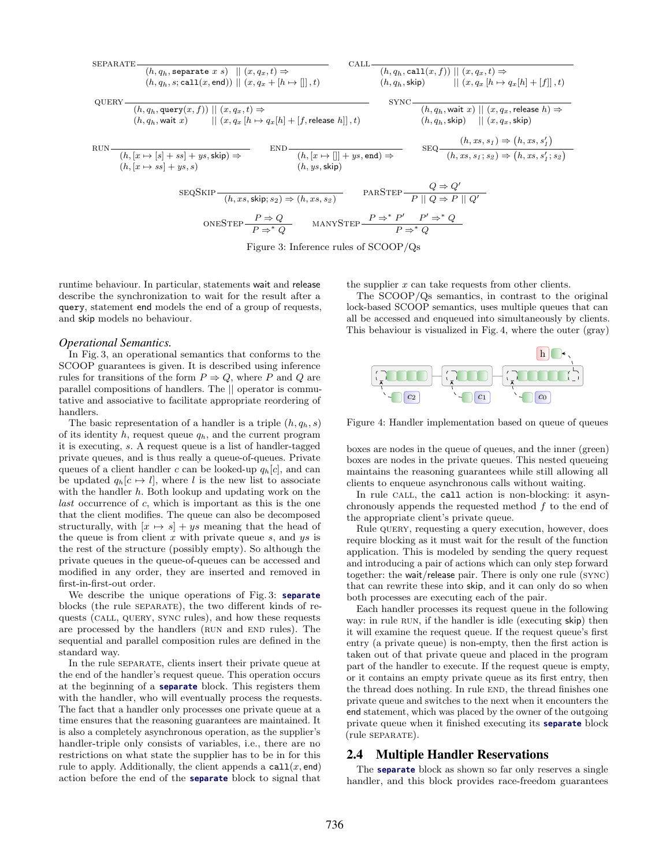| \n $\text{SEPARATE} \xrightarrow{\quad (h, q_h, \text{separate } x \text{ s}) \parallel (x, q_x, t) \Rightarrow}$ \n | \n $\text{CALL} \xrightarrow{\quad (h, q_h, \text{call}(x, f)) \parallel (x, q_x, t) \Rightarrow}$ \n                                                                                                                        |
|----------------------------------------------------------------------------------------------------------------------|------------------------------------------------------------------------------------------------------------------------------------------------------------------------------------------------------------------------------|
| \n $\text{(h, q_h, s; call}(x, \text{end})) \parallel (x, q_x + [h \mapsto []], t)$ \n                               | \n $\text{CLL} \xrightarrow{\quad (h, q_h, \text{call}(x, f)) \parallel (x, q_x, t) \Rightarrow}$ \n                                                                                                                         |
| \n $\text{(h, q_h, \text{wait } x) \parallel (x, q_x [h \mapsto q_x [h] + [f, \text{release } h]], t)$ \n            | \n $\text{SYNC} \xrightarrow{\quad (h, q_h, \text{wait } x) \parallel (x, q_x, \text{release } h) \Rightarrow}$ \n                                                                                                           |
| \n $\text{RUN} \xrightarrow{\quad (h, [x \mapsto [s] + ss] + ys, \text{skip}) \Rightarrow}$ \n                       | \n $\text{END} \xrightarrow{\quad (h, [x \mapsto []] + ys, \text{end}} \text{SD} \xrightarrow{\quad (h, x_s, s_1; s_2) \Rightarrow (h, xs, s'_1)}$ \n                                                                        |
| \n $\text{RUN} \xrightarrow{\quad (h, [x \mapsto [s] + ss] + ys, \text{skip}) \Rightarrow}$ \n                       | \n $\text{END} \xrightarrow{\quad (h, [x \mapsto []] + ys, \text{end}} \text{SD} \xrightarrow{\quad (h, [x \mapsto []] + ys, \text{end}} \text{SD} \xrightarrow{\quad (h, x_s, s_1; s_2) \Rightarrow (h, xs, s'_1; s_2)}$ \n |
| \n $\text{RUN} \xrightarrow{\quad (h, [x \mapsto [s] + ss] + ys, \text{skip}) \Rightarrow}$ \n                       | \n $\text{END} \xrightarrow{\quad (h, [x \mapsto []] + ys, \text{end}} \text{SD} \xrightarrow{\quad$                                                                                                                         |

Figure 3: Inference rules of SCOOP/Qs

runtime behaviour. In particular, statements wait and release describe the synchronization to wait for the result after a query, statement end models the end of a group of requests, and skip models no behaviour.

#### *Operational Semantics.*

In Fig. 3, an operational semantics that conforms to the SCOOP guarantees is given. It is described using inference rules for transitions of the form  $P \Rightarrow Q$ , where P and Q are parallel compositions of handlers. The || operator is commutative and associative to facilitate appropriate reordering of handlers.

The basic representation of a handler is a triple  $(h, q_h, s)$ of its identity h, request queue  $q_h$ , and the current program it is executing, s. A request queue is a list of handler-tagged private queues, and is thus really a queue-of-queues. Private queues of a client handler c can be looked-up  $q_h[c]$ , and can be updated  $q_h[c \mapsto l]$ , where l is the new list to associate with the handler  $h$ . Both lookup and updating work on the  $last$  occurrence of  $c$ , which is important as this is the one that the client modifies. The queue can also be decomposed structurally, with  $[x \mapsto s] + ys$  meaning that the head of the queue is from client  $x$  with private queue  $s$ , and  $ys$  is the rest of the structure (possibly empty). So although the private queues in the queue-of-queues can be accessed and modified in any order, they are inserted and removed in first-in-first-out order.

We describe the unique operations of Fig. 3: **separate** blocks (the rule SEPARATE), the two different kinds of requests (call, query, sync rules), and how these requests are processed by the handlers (RUN and END rules). The sequential and parallel composition rules are defined in the standard way.

In the rule SEPARATE, clients insert their private queue at the end of the handler's request queue. This operation occurs at the beginning of a **separate** block. This registers them with the handler, who will eventually process the requests. The fact that a handler only processes one private queue at a time ensures that the reasoning guarantees are maintained. It is also a completely asynchronous operation, as the supplier's handler-triple only consists of variables, i.e., there are no restrictions on what state the supplier has to be in for this rule to apply. Additionally, the client appends a  $\text{call}(x, \text{end})$ action before the end of the **separate** block to signal that

the supplier  $x$  can take requests from other clients.

The SCOOP/Qs semantics, in contrast to the original lock-based SCOOP semantics, uses multiple queues that can all be accessed and enqueued into simultaneously by clients. This behaviour is visualized in Fig. 4, where the outer (gray)



Figure 4: Handler implementation based on queue of queues

boxes are nodes in the queue of queues, and the inner (green) boxes are nodes in the private queues. This nested queueing maintains the reasoning guarantees while still allowing all clients to enqueue asynchronous calls without waiting.

In rule CALL, the call action is non-blocking: it asynchronously appends the requested method  $f$  to the end of the appropriate client's private queue.

Rule query, requesting a query execution, however, does require blocking as it must wait for the result of the function application. This is modeled by sending the query request and introducing a pair of actions which can only step forward together: the wait/release pair. There is only one rule (sync) that can rewrite these into skip, and it can only do so when both processes are executing each of the pair.

Each handler processes its request queue in the following way: in rule RUN, if the handler is idle (executing skip) then it will examine the request queue. If the request queue's first entry (a private queue) is non-empty, then the first action is taken out of that private queue and placed in the program part of the handler to execute. If the request queue is empty, or it contains an empty private queue as its first entry, then the thread does nothing. In rule END, the thread finishes one private queue and switches to the next when it encounters the end statement, which was placed by the owner of the outgoing private queue when it finished executing its **separate** block (rule SEPARATE).

# 2.4 Multiple Handler Reservations

The **separate** block as shown so far only reserves a single handler, and this block provides race-freedom guarantees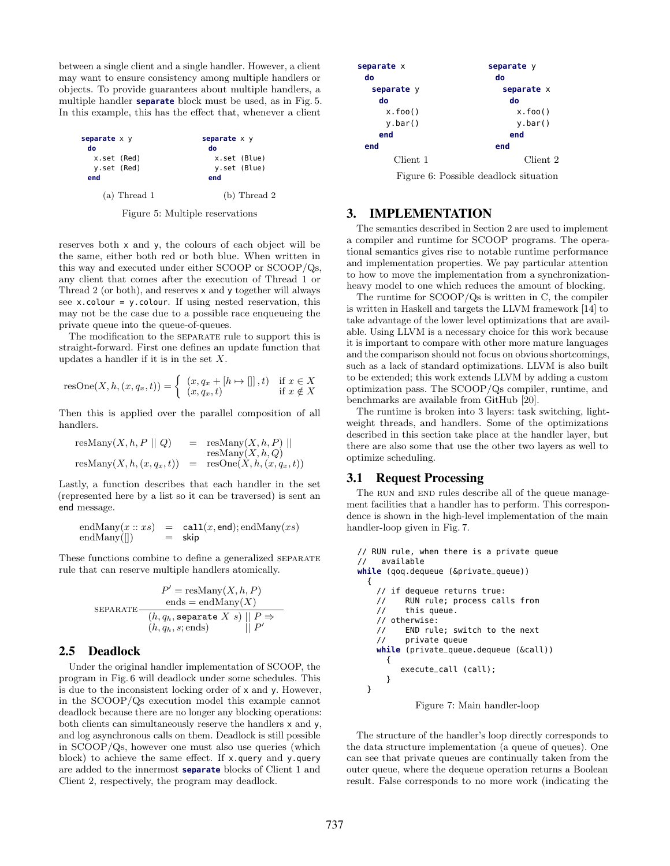between a single client and a single handler. However, a client may want to ensure consistency among multiple handlers or objects. To provide guarantees about multiple handlers, a multiple handler **separate** block must be used, as in Fig. 5. In this example, this has the effect that, whenever a client

| separate x y<br>do | separate $x \, y$<br>do |
|--------------------|-------------------------|
| x.set (Red)        | x.set (Blue)            |
| y.set (Red)        | y.set (Blue)            |
| end                | end                     |
| $(a)$ Thread 1     | $(b)$ Thread 2          |

Figure 5: Multiple reservations

reserves both x and y, the colours of each object will be the same, either both red or both blue. When written in this way and executed under either SCOOP or SCOOP/Qs, any client that comes after the execution of Thread 1 or Thread 2 (or both), and reserves x and y together will always see x.colour = y.colour. If using nested reservation, this may not be the case due to a possible race enqueueing the private queue into the queue-of-queues.

The modification to the separate rule to support this is straight-forward. First one defines an update function that updates a handler if it is in the set  $X$ .

$$
resOne(X, h, (x, q_x, t)) = \begin{cases} (x, q_x + [h \mapsto []], t) & \text{if } x \in X \\ (x, q_x, t) & \text{if } x \notin X \end{cases}
$$

Then this is applied over the parallel composition of all handlers.

$$
\begin{array}{rcl}\n\text{resMany}(X, h, P \parallel Q) & = & \text{resMany}(X, h, P) \parallel \\
& \text{resMany}(X, h, Q) \\
\text{resMany}(X, h, (x, q_x, t)) & = & \text{resOne}(X, h, (x, q_x, t))\n\end{array}
$$

Lastly, a function describes that each handler in the set (represented here by a list so it can be traversed) is sent an end message.

$$
endMany(x :: xs) = call(x, end); endMany(xs) endMany([]) = skip
$$

These functions combine to define a generalized separate rule that can reserve multiple handlers atomically.

$$
P' = \text{resMany}(X, h, P)
$$
  
ends = endMany(X)  

$$
\frac{(h, q_h, \text{separate } X \ s) \mid P \Rightarrow}{(h, q_h, s; \text{ends})}
$$

# 2.5 Deadlock

Under the original handler implementation of SCOOP, the program in Fig. 6 will deadlock under some schedules. This is due to the inconsistent locking order of x and y. However, in the SCOOP/Qs execution model this example cannot deadlock because there are no longer any blocking operations: both clients can simultaneously reserve the handlers x and y, and log asynchronous calls on them. Deadlock is still possible in SCOOP/Qs, however one must also use queries (which block) to achieve the same effect. If x.query and y.query are added to the innermost **separate** blocks of Client 1 and Client 2, respectively, the program may deadlock.

| separate x<br>do | separate y<br>do |
|------------------|------------------|
| separate y       | separate x       |
| do               | do               |
| x.foo()          | x.foo()          |
| $y$ .bar $()$    | $y.$ bar $()$    |
| end              | end              |
| end              | end              |
| Client 1         | Client 2         |
| $\sim$           | .                |

Figure 6: Possible deadlock situation

## 3. IMPLEMENTATION

The semantics described in Section 2 are used to implement a compiler and runtime for SCOOP programs. The operational semantics gives rise to notable runtime performance and implementation properties. We pay particular attention to how to move the implementation from a synchronizationheavy model to one which reduces the amount of blocking.

The runtime for SCOOP/Qs is written in C, the compiler is written in Haskell and targets the LLVM framework [14] to take advantage of the lower level optimizations that are available. Using LLVM is a necessary choice for this work because it is important to compare with other more mature languages and the comparison should not focus on obvious shortcomings, such as a lack of standard optimizations. LLVM is also built to be extended; this work extends LLVM by adding a custom optimization pass. The SCOOP/Qs compiler, runtime, and benchmarks are available from GitHub [20].

The runtime is broken into 3 layers: task switching, lightweight threads, and handlers. Some of the optimizations described in this section take place at the handler layer, but there are also some that use the other two layers as well to optimize scheduling.

### 3.1 Request Processing

The RUN and END rules describe all of the queue management facilities that a handler has to perform. This correspondence is shown in the high-level implementation of the main handler-loop given in Fig. 7.

```
// RUN rule, when there is a private queue
// available
while (qoq.dequeue (&private_queue))
  {
    // if dequeue returns true:<br>// RUN rule; process cal
          RUN rule; process calls from
    // this queue.
    // otherwise:
    // END rule; switch to the next
    // private queue
    while (private_queue.dequeue (&call))
      {
         execute_call (call);
      }
  }
```
Figure 7: Main handler-loop

The structure of the handler's loop directly corresponds to the data structure implementation (a queue of queues). One can see that private queues are continually taken from the outer queue, where the dequeue operation returns a Boolean result. False corresponds to no more work (indicating the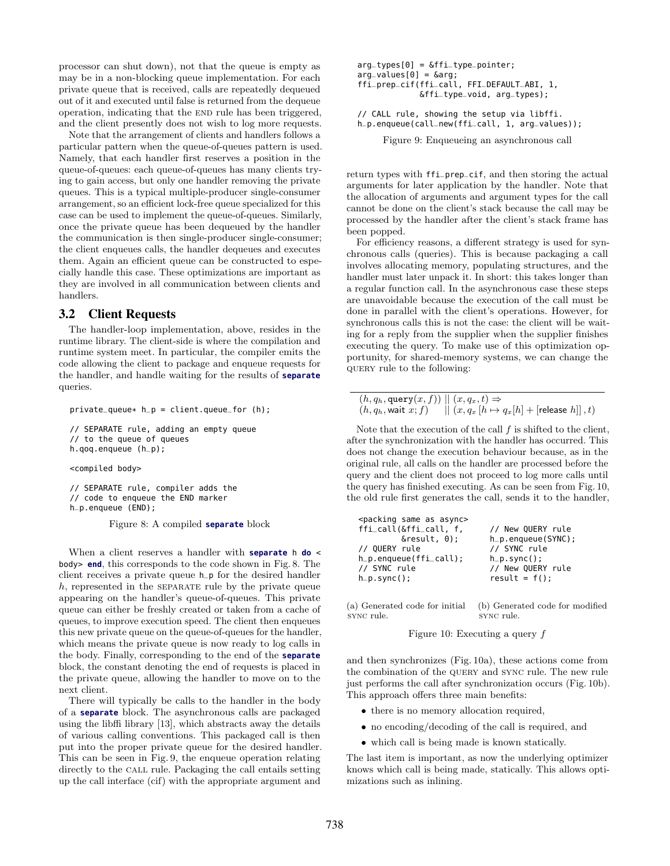processor can shut down), not that the queue is empty as may be in a non-blocking queue implementation. For each private queue that is received, calls are repeatedly dequeued out of it and executed until false is returned from the dequeue operation, indicating that the END rule has been triggered, and the client presently does not wish to log more requests.

Note that the arrangement of clients and handlers follows a particular pattern when the queue-of-queues pattern is used. Namely, that each handler first reserves a position in the queue-of-queues: each queue-of-queues has many clients trying to gain access, but only one handler removing the private queues. This is a typical multiple-producer single-consumer arrangement, so an efficient lock-free queue specialized for this case can be used to implement the queue-of-queues. Similarly, once the private queue has been dequeued by the handler the communication is then single-producer single-consumer; the client enqueues calls, the handler dequeues and executes them. Again an efficient queue can be constructed to especially handle this case. These optimizations are important as they are involved in all communication between clients and handlers.

#### 3.2 Client Requests

The handler-loop implementation, above, resides in the runtime library. The client-side is where the compilation and runtime system meet. In particular, the compiler emits the code allowing the client to package and enqueue requests for the handler, and handle waiting for the results of **separate** queries.

```
private_queue* h_p = client.queue_for (h);
```

```
// SEPARATE rule, adding an empty queue
// to the queue of queues
h.qoq.enqueue (h_p);
```
<compiled body>

// SEPARATE rule, compiler adds the // code to enqueue the END marker h\_p.enqueue (END);

Figure 8: A compiled **separate** block

When a client reserves a handler with **separate** h **do** < body> **end**, this corresponds to the code shown in Fig. 8. The client receives a private queue h\_p for the desired handler  $h$ , represented in the SEPARATE rule by the private queue appearing on the handler's queue-of-queues. This private queue can either be freshly created or taken from a cache of queues, to improve execution speed. The client then enqueues this new private queue on the queue-of-queues for the handler, which means the private queue is now ready to log calls in the body. Finally, corresponding to the end of the **separate** block, the constant denoting the end of requests is placed in the private queue, allowing the handler to move on to the next client.

There will typically be calls to the handler in the body of a **separate** block. The asynchronous calls are packaged using the libffi library [13], which abstracts away the details of various calling conventions. This packaged call is then put into the proper private queue for the desired handler. This can be seen in Fig. 9, the enqueue operation relating directly to the call rule. Packaging the call entails setting up the call interface (cif) with the appropriate argument and

```
arg_types[0] = \delta ffi_typ_e-pointer;arg_values[0] = \delta arg;ffi_prep_cif(ffi_call, FFI_DEFAULT_ABI, 1,
             &ffi_type_void, arg_types);
// CALL rule, showing the setup via libffi.
h_p.enqueue(call_new(ffi_call, 1, arg_values));
```
Figure 9: Enqueueing an asynchronous call

return types with ffi\_prep\_cif, and then storing the actual arguments for later application by the handler. Note that the allocation of arguments and argument types for the call cannot be done on the client's stack because the call may be processed by the handler after the client's stack frame has been popped.

For efficiency reasons, a different strategy is used for synchronous calls (queries). This is because packaging a call involves allocating memory, populating structures, and the handler must later unpack it. In short: this takes longer than a regular function call. In the asynchronous case these steps are unavoidable because the execution of the call must be done in parallel with the client's operations. However, for synchronous calls this is not the case: the client will be waiting for a reply from the supplier when the supplier finishes executing the query. To make use of this optimization opportunity, for shared-memory systems, we can change the query rule to the following:

```
(h, q_h, \texttt{query}(x, f)) \rvert | (x, q_x, t) \Rightarrow(h, q_h, \text{wait } x; f) \quad || \ (x, q_x \ [h \mapsto q_x[h] + [\text{release } h]], t)
```
Note that the execution of the call  $f$  is shifted to the client, after the synchronization with the handler has occurred. This does not change the execution behaviour because, as in the original rule, all calls on the handler are processed before the query and the client does not proceed to log more calls until the query has finished executing. As can be seen from Fig. 10, the old rule first generates the call, sends it to the handler,

| <packing as="" async="" same=""></packing> |                         |
|--------------------------------------------|-------------------------|
| ffi_call(&ffi_call, f,                     | // New OUERY rule       |
| $\&result, 0);$                            | $h_p$ . enqueue (SYNC); |
| // OUERY rule                              | // SYNC rule            |
| $h_p$ .engueue(ffi_call);                  | $h_p.sync()$ ;          |
| // SYNC rule                               | // New QUERY rule       |
| $h_p.sync()$ ;                             | $result = f()$ ;        |
|                                            |                         |

(a) Generated code for initial sync rule. (b) Generated code for modified sync rule.

Figure 10: Executing a query f

and then synchronizes (Fig. 10a), these actions come from the combination of the query and sync rule. The new rule just performs the call after synchronization occurs (Fig. 10b). This approach offers three main benefits:

- there is no memory allocation required,
- no encoding/decoding of the call is required, and
- which call is being made is known statically.

The last item is important, as now the underlying optimizer knows which call is being made, statically. This allows optimizations such as inlining.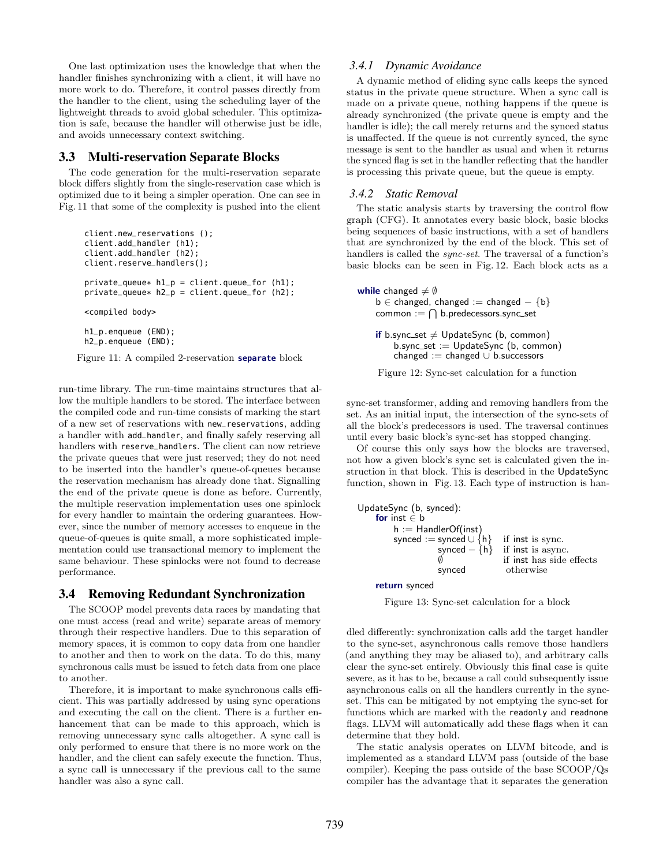One last optimization uses the knowledge that when the handler finishes synchronizing with a client, it will have no more work to do. Therefore, it control passes directly from the handler to the client, using the scheduling layer of the lightweight threads to avoid global scheduler. This optimization is safe, because the handler will otherwise just be idle, and avoids unnecessary context switching.

#### 3.3 Multi-reservation Separate Blocks

The code generation for the multi-reservation separate block differs slightly from the single-reservation case which is optimized due to it being a simpler operation. One can see in Fig. 11 that some of the complexity is pushed into the client

```
client.new_reservations ();
client.add_handler (h1);
client.add_handler (h2);
client.reserve_handlers();
private_queue* h1_p = client.queue_for (h1);
private_{queue*} h2p = client.queue_{i} (h2);
<compiled body>
h1_p.enqueue (END);
h2_p.enqueue (END);
```
Figure 11: A compiled 2-reservation **separate** block

run-time library. The run-time maintains structures that allow the multiple handlers to be stored. The interface between the compiled code and run-time consists of marking the start of a new set of reservations with new\_reservations, adding a handler with add\_handler, and finally safely reserving all handlers with reserve\_handlers. The client can now retrieve the private queues that were just reserved; they do not need to be inserted into the handler's queue-of-queues because the reservation mechanism has already done that. Signalling the end of the private queue is done as before. Currently, the multiple reservation implementation uses one spinlock for every handler to maintain the ordering guarantees. However, since the number of memory accesses to enqueue in the queue-of-queues is quite small, a more sophisticated implementation could use transactional memory to implement the same behaviour. These spinlocks were not found to decrease performance.

# 3.4 Removing Redundant Synchronization

The SCOOP model prevents data races by mandating that one must access (read and write) separate areas of memory through their respective handlers. Due to this separation of memory spaces, it is common to copy data from one handler to another and then to work on the data. To do this, many synchronous calls must be issued to fetch data from one place to another.

Therefore, it is important to make synchronous calls efficient. This was partially addressed by using sync operations and executing the call on the client. There is a further enhancement that can be made to this approach, which is removing unnecessary sync calls altogether. A sync call is only performed to ensure that there is no more work on the handler, and the client can safely execute the function. Thus, a sync call is unnecessary if the previous call to the same handler was also a sync call.

### *3.4.1 Dynamic Avoidance*

A dynamic method of eliding sync calls keeps the synced status in the private queue structure. When a sync call is made on a private queue, nothing happens if the queue is already synchronized (the private queue is empty and the handler is idle); the call merely returns and the synced status is unaffected. If the queue is not currently synced, the sync message is sent to the handler as usual and when it returns the synced flag is set in the handler reflecting that the handler is processing this private queue, but the queue is empty.

#### *3.4.2 Static Removal*

The static analysis starts by traversing the control flow graph (CFG). It annotates every basic block, basic blocks being sequences of basic instructions, with a set of handlers that are synchronized by the end of the block. This set of handlers is called the *sync-set*. The traversal of a function's basic blocks can be seen in Fig. 12. Each block acts as a

```
while changed \neq \emptysetb \in changed, changed := changed - {b}
     common := \bigcap b.\text{predecessors}.sync_set
    if b.sync_set \neq UpdateSync (b, common)
```

```
b.\text{sync\_set} := \text{UpdateSync} (b, common)
changed := changed \cup b. successors
```


sync-set transformer, adding and removing handlers from the set. As an initial input, the intersection of the sync-sets of all the block's predecessors is used. The traversal continues until every basic block's sync-set has stopped changing.

Of course this only says how the blocks are traversed, not how a given block's sync set is calculated given the instruction in that block. This is described in the UpdateSync function, shown in Fig. 13. Each type of instruction is han-

```
UpdateSync (b, synced):
    for inst ∈ b
         h := HandlerOf(inst)
         synced := synced ∪ {h} if inst is sync.
                     synced – {h} if inst is async.<br>
\emptyset if inst has side
                                      if inst has side effects
                     synced otherwise
```
return synced

Figure 13: Sync-set calculation for a block

dled differently: synchronization calls add the target handler to the sync-set, asynchronous calls remove those handlers (and anything they may be aliased to), and arbitrary calls clear the sync-set entirely. Obviously this final case is quite severe, as it has to be, because a call could subsequently issue asynchronous calls on all the handlers currently in the syncset. This can be mitigated by not emptying the sync-set for functions which are marked with the readonly and readnone flags. LLVM will automatically add these flags when it can determine that they hold.

The static analysis operates on LLVM bitcode, and is implemented as a standard LLVM pass (outside of the base compiler). Keeping the pass outside of the base SCOOP/Qs compiler has the advantage that it separates the generation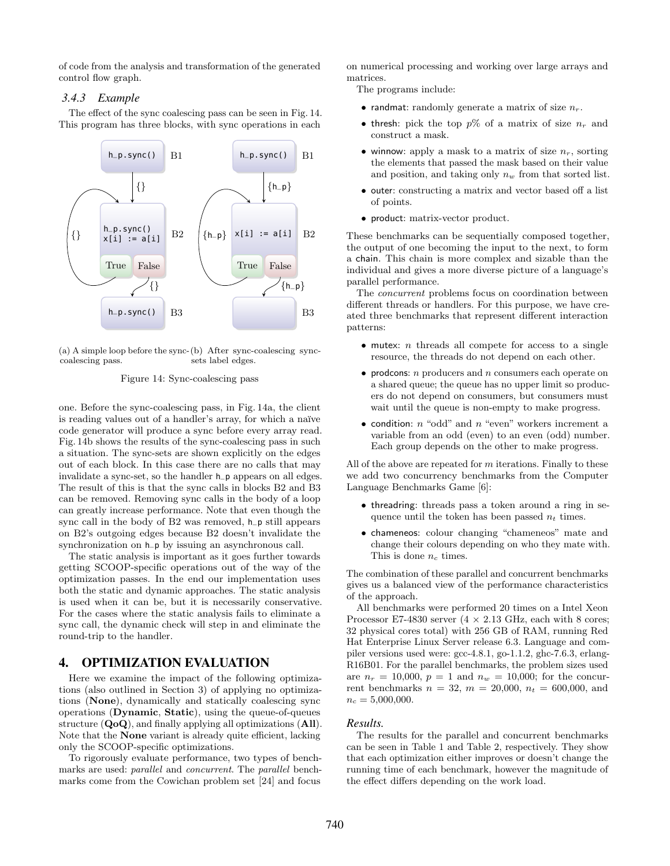of code from the analysis and transformation of the generated control flow graph.

#### *3.4.3 Example*

The effect of the sync coalescing pass can be seen in Fig. 14. This program has three blocks, with sync operations in each



(a) A simple loop before the sync-(b) After sync-coalescing synccoalescing pass. sets label edges.

#### Figure 14: Sync-coalescing pass

one. Before the sync-coalescing pass, in Fig. 14a, the client is reading values out of a handler's array, for which a naïve code generator will produce a sync before every array read. Fig. 14b shows the results of the sync-coalescing pass in such a situation. The sync-sets are shown explicitly on the edges out of each block. In this case there are no calls that may invalidate a sync-set, so the handler h\_p appears on all edges. The result of this is that the sync calls in blocks B2 and B3 can be removed. Removing sync calls in the body of a loop can greatly increase performance. Note that even though the sync call in the body of B2 was removed, h\_p still appears on B2's outgoing edges because B2 doesn't invalidate the synchronization on  $h$ -p by issuing an asynchronous call.

The static analysis is important as it goes further towards getting SCOOP-specific operations out of the way of the optimization passes. In the end our implementation uses both the static and dynamic approaches. The static analysis is used when it can be, but it is necessarily conservative. For the cases where the static analysis fails to eliminate a sync call, the dynamic check will step in and eliminate the round-trip to the handler.

## 4. OPTIMIZATION EVALUATION

Here we examine the impact of the following optimizations (also outlined in Section 3) of applying no optimizations (None), dynamically and statically coalescing sync operations (Dynamic, Static), using the queue-of-queues structure  $(QoQ)$ , and finally applying all optimizations  $(AII)$ . Note that the None variant is already quite efficient, lacking only the SCOOP-specific optimizations.

To rigorously evaluate performance, two types of benchmarks are used: parallel and concurrent. The parallel benchmarks come from the Cowichan problem set [24] and focus on numerical processing and working over large arrays and matrices.

The programs include:

- randmat: randomly generate a matrix of size  $n_r$ .
- thresh: pick the top  $p\%$  of a matrix of size  $n_r$  and construct a mask.
- winnow: apply a mask to a matrix of size  $n_r$ , sorting the elements that passed the mask based on their value and position, and taking only  $n_w$  from that sorted list.
- outer: constructing a matrix and vector based off a list of points.
- product: matrix-vector product.

These benchmarks can be sequentially composed together, the output of one becoming the input to the next, to form a chain. This chain is more complex and sizable than the individual and gives a more diverse picture of a language's parallel performance.

The concurrent problems focus on coordination between different threads or handlers. For this purpose, we have created three benchmarks that represent different interaction patterns:

- mutex: *n* threads all compete for access to a single resource, the threads do not depend on each other.
- prodcons:  $n$  producers and  $n$  consumers each operate on a shared queue; the queue has no upper limit so producers do not depend on consumers, but consumers must wait until the queue is non-empty to make progress.
- condition:  $n \text{ "odd" and } n \text{ "even" workers increment a}$ variable from an odd (even) to an even (odd) number. Each group depends on the other to make progress.

All of the above are repeated for  $m$  iterations. Finally to these we add two concurrency benchmarks from the Computer Language Benchmarks Game [6]:

- threadring: threads pass a token around a ring in sequence until the token has been passed  $n_t$  times.
- chameneos: colour changing "chameneos" mate and change their colours depending on who they mate with. This is done  $n_c$  times.

The combination of these parallel and concurrent benchmarks gives us a balanced view of the performance characteristics of the approach.

All benchmarks were performed 20 times on a Intel Xeon Processor E7-4830 server  $(4 \times 2.13 \text{ GHz}, \text{each with 8 cores};$ 32 physical cores total) with 256 GB of RAM, running Red Hat Enterprise Linux Server release 6.3. Language and compiler versions used were: gcc-4.8.1, go-1.1.2, ghc-7.6.3, erlang-R16B01. For the parallel benchmarks, the problem sizes used are  $n_r = 10,000, p = 1$  and  $n_w = 10,000$ ; for the concurrent benchmarks  $n = 32$ ,  $m = 20,000$ ,  $n_t = 600,000$ , and  $n_c = 5,000,000$ .

#### *Results.*

The results for the parallel and concurrent benchmarks can be seen in Table 1 and Table 2, respectively. They show that each optimization either improves or doesn't change the running time of each benchmark, however the magnitude of the effect differs depending on the work load.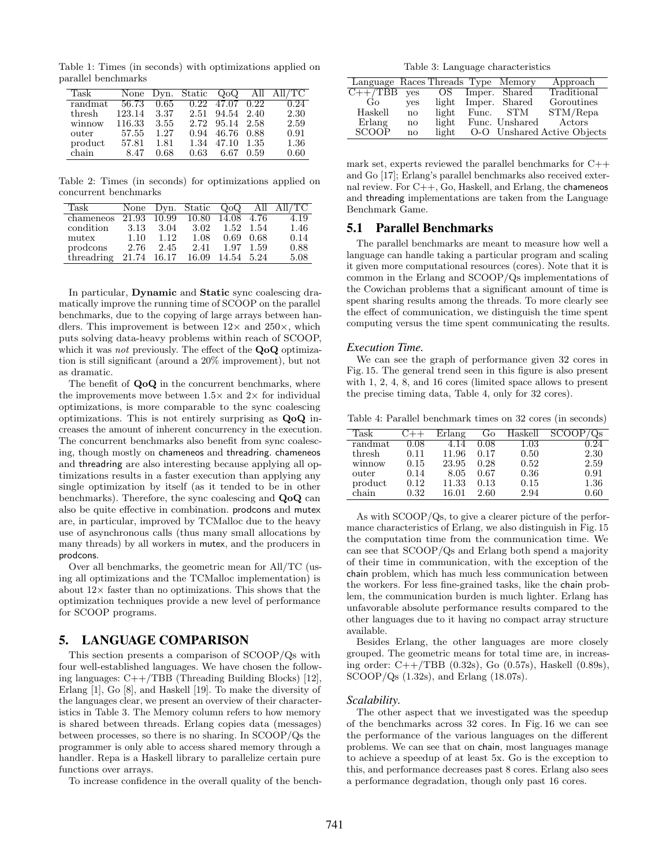Table 1: Times (in seconds) with optimizations applied on parallel benchmarks

| Task    |             |      |                               | None Dyn. Static $Q_0Q$ All All/TC |
|---------|-------------|------|-------------------------------|------------------------------------|
| randmat | 56.73       | 0.65 | $0.22 \quad 47.07 \quad 0.22$ | 0.24                               |
| thresh  | 123.14 3.37 |      | 2.51 94.54 2.40               | 2.30                               |
| winnow  | 116.33      | 3.55 | 2.72 95.14 2.58               | 2.59                               |
| outer   | 57.55       | 1.27 | 0.94 46.76 0.88               | 0.91                               |
| product | 57.81       | 1.81 | 1.34 47.10 1.35               | 1.36                               |
| chain   | 8.47        | 0.68 | $0.63$ 6.67 0.59              | 0.60                               |

Table 2: Times (in seconds) for optimizations applied on concurrent benchmarks

| Task       |      |             |                              |           |      | None Dyn. Static $Q_0Q$ All All/TC |
|------------|------|-------------|------------------------------|-----------|------|------------------------------------|
| chameneos  |      |             | 21.93 10.99 10.80 14.08 4.76 |           |      | 4.19                               |
| condition  | 3.13 | 3.04        | 3.02                         | 1.52 1.54 |      | 1.46                               |
| mutex      | 1.10 | 1.12        | 1.08                         | 0.69      | 0.68 | 0.14                               |
| prodcons   | 2.76 | 2.45        | 2.41                         | 1.97 1.59 |      | 0.88                               |
| threadring |      | 21.74 16.17 | 16.09 14.54 5.24             |           |      | 5.08                               |

In particular, Dynamic and Static sync coalescing dramatically improve the running time of SCOOP on the parallel benchmarks, due to the copying of large arrays between handlers. This improvement is between  $12\times$  and  $250\times$ , which puts solving data-heavy problems within reach of SCOOP, which it was *not* previously. The effect of the  $Q_0Q$  optimization is still significant (around a 20% improvement), but not as dramatic.

The benefit of  $Q_0Q$  in the concurrent benchmarks, where the improvements move between  $1.5\times$  and  $2\times$  for individual optimizations, is more comparable to the sync coalescing optimizations. This is not entirely surprising as QoQ increases the amount of inherent concurrency in the execution. The concurrent benchmarks also benefit from sync coalescing, though mostly on chameneos and threadring. chameneos and threadring are also interesting because applying all optimizations results in a faster execution than applying any single optimization by itself (as it tended to be in other benchmarks). Therefore, the sync coalescing and QoQ can also be quite effective in combination. prodcons and mutex are, in particular, improved by TCMalloc due to the heavy use of asynchronous calls (thus many small allocations by many threads) by all workers in mutex, and the producers in prodcons.

Over all benchmarks, the geometric mean for All/TC (using all optimizations and the TCMalloc implementation) is about  $12\times$  faster than no optimizations. This shows that the optimization techniques provide a new level of performance for SCOOP programs.

### 5. LANGUAGE COMPARISON

This section presents a comparison of SCOOP/Qs with four well-established languages. We have chosen the following languages:  $C++/TBB$  (Threading Building Blocks) [12], Erlang [1], Go [8], and Haskell [19]. To make the diversity of the languages clear, we present an overview of their characteristics in Table 3. The Memory column refers to how memory is shared between threads. Erlang copies data (messages) between processes, so there is no sharing. In SCOOP/Qs the programmer is only able to access shared memory through a handler. Repa is a Haskell library to parallelize certain pure functions over arrays.

To increase confidence in the overall quality of the bench-

Table 3: Language characteristics

| Language Races Threads Type Memory |            |       |       |                | Approach                |
|------------------------------------|------------|-------|-------|----------------|-------------------------|
| $C++/TBB$                          | <b>ves</b> | OS.   |       | Imper. Shared  | Traditional             |
| Go.                                | <b>ves</b> | light |       | Imper. Shared  | Goroutines              |
| Haskell                            | no         | light | Func. | STM            | STM/Repa                |
| Erlang                             | no         | light |       | Func. Unshared | Actors                  |
| <b>SCOOP</b>                       | no         | light | $O-O$ |                | Unshared Active Objects |

mark set, experts reviewed the parallel benchmarks for C++ and Go [17]; Erlang's parallel benchmarks also received external review. For C++, Go, Haskell, and Erlang, the chameneos and threading implementations are taken from the Language Benchmark Game.

## 5.1 Parallel Benchmarks

The parallel benchmarks are meant to measure how well a language can handle taking a particular program and scaling it given more computational resources (cores). Note that it is common in the Erlang and SCOOP/Qs implementations of the Cowichan problems that a significant amount of time is spent sharing results among the threads. To more clearly see the effect of communication, we distinguish the time spent computing versus the time spent communicating the results.

#### *Execution Time.*

We can see the graph of performance given 32 cores in Fig. 15. The general trend seen in this figure is also present with 1, 2, 4, 8, and 16 cores (limited space allows to present the precise timing data, Table 4, only for 32 cores).

Table 4: Parallel benchmark times on 32 cores (in seconds)

| Task    |          | Erlang | Go   | Haskell |      |
|---------|----------|--------|------|---------|------|
| randmat | 0.08     | 4.14   | 0.08 | 1.03    | 0.24 |
| thresh  | 0.11     | 11.96  | 0.17 | 0.50    | 2.30 |
| winnow  | 0.15     | 23.95  | 0.28 | 0.52    | 2.59 |
| outer   | 0.14     | 8.05   | 0.67 | 0.36    | 0.91 |
| product | $0.12\,$ | 11.33  | 0.13 | 0.15    | 1.36 |
| chain   | 0.32     | 16.01  | 2.60 | 2.94    | 0.60 |

As with SCOOP/Qs, to give a clearer picture of the performance characteristics of Erlang, we also distinguish in Fig. 15 the computation time from the communication time. We can see that SCOOP/Qs and Erlang both spend a majority of their time in communication, with the exception of the chain problem, which has much less communication between the workers. For less fine-grained tasks, like the chain problem, the communication burden is much lighter. Erlang has unfavorable absolute performance results compared to the other languages due to it having no compact array structure available.

Besides Erlang, the other languages are more closely grouped. The geometric means for total time are, in increasing order: C++/TBB (0.32s), Go (0.57s), Haskell (0.89s), SCOOP/Qs (1.32s), and Erlang (18.07s).

#### *Scalability.*

The other aspect that we investigated was the speedup of the benchmarks across 32 cores. In Fig. 16 we can see the performance of the various languages on the different problems. We can see that on chain, most languages manage to achieve a speedup of at least 5x. Go is the exception to this, and performance decreases past 8 cores. Erlang also sees a performance degradation, though only past 16 cores.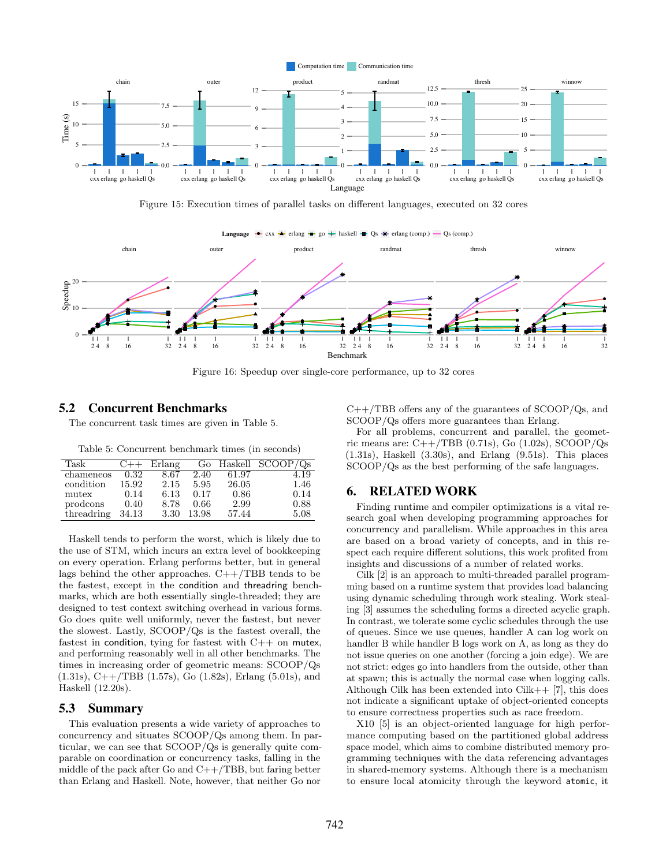

Figure 15: Execution times of parallel tasks on different languages, executed on 32 cores



Figure 16: Speedup over single-core performance, up to 32 cores

## 5.2 Concurrent Benchmarks

The concurrent task times are given in Table 5.

Table 5: Concurrent benchmark times (in seconds)

| Task       | $C++$ | Erlang |       |       | Go Haskell $SCOOP/Qs$ |
|------------|-------|--------|-------|-------|-----------------------|
| chameneos  | 0.32  | 8.67   | 2.40  | 61.97 | 4.19                  |
| condition  | 15.92 | 2.15   | 5.95  | 26.05 | 1.46                  |
| mutex      | 0.14  | 6.13   | 0.17  | 0.86  | 0.14                  |
| prodcons   | 0.40  | 8.78   | 0.66  | 2.99  | 0.88                  |
| threadring | 34.13 | 3.30   | 13.98 | 57.44 | 5.08                  |

Haskell tends to perform the worst, which is likely due to the use of STM, which incurs an extra level of bookkeeping on every operation. Erlang performs better, but in general lags behind the other approaches.  $C++/TBB$  tends to be the fastest, except in the condition and threadring benchmarks, which are both essentially single-threaded; they are designed to test context switching overhead in various forms. Go does quite well uniformly, never the fastest, but never the slowest. Lastly, SCOOP/Qs is the fastest overall, the fastest in condition, tying for fastest with C++ on mutex, and performing reasonably well in all other benchmarks. The times in increasing order of geometric means: SCOOP/Qs (1.31s), C++/TBB (1.57s), Go (1.82s), Erlang (5.01s), and Haskell (12.20s).

#### 5.3 Summary

This evaluation presents a wide variety of approaches to concurrency and situates SCOOP/Qs among them. In particular, we can see that SCOOP/Qs is generally quite comparable on coordination or concurrency tasks, falling in the middle of the pack after Go and  $C++/TBB$ , but faring better than Erlang and Haskell. Note, however, that neither Go nor

 $C++/TBB$  offers any of the guarantees of  $SCOOP/Qs$ , and SCOOP/Qs offers more guarantees than Erlang.

For all problems, concurrent and parallel, the geometric means are:  $C++/TBB$  (0.71s), Go (1.02s), SCOOP/Qs (1.31s), Haskell (3.30s), and Erlang (9.51s). This places SCOOP/Qs as the best performing of the safe languages.

# 6. RELATED WORK

Finding runtime and compiler optimizations is a vital research goal when developing programming approaches for concurrency and parallelism. While approaches in this area are based on a broad variety of concepts, and in this respect each require different solutions, this work profited from insights and discussions of a number of related works.

Cilk [2] is an approach to multi-threaded parallel programming based on a runtime system that provides load balancing using dynamic scheduling through work stealing. Work stealing [3] assumes the scheduling forms a directed acyclic graph. In contrast, we tolerate some cyclic schedules through the use of queues. Since we use queues, handler A can log work on handler B while handler B logs work on A, as long as they do not issue queries on one another (forcing a join edge). We are not strict: edges go into handlers from the outside, other than at spawn; this is actually the normal case when logging calls. Although Cilk has been extended into Cilk++ [7], this does not indicate a significant uptake of object-oriented concepts to ensure correctness properties such as race freedom.

X10 [5] is an object-oriented language for high performance computing based on the partitioned global address space model, which aims to combine distributed memory programming techniques with the data referencing advantages in shared-memory systems. Although there is a mechanism to ensure local atomicity through the keyword atomic, it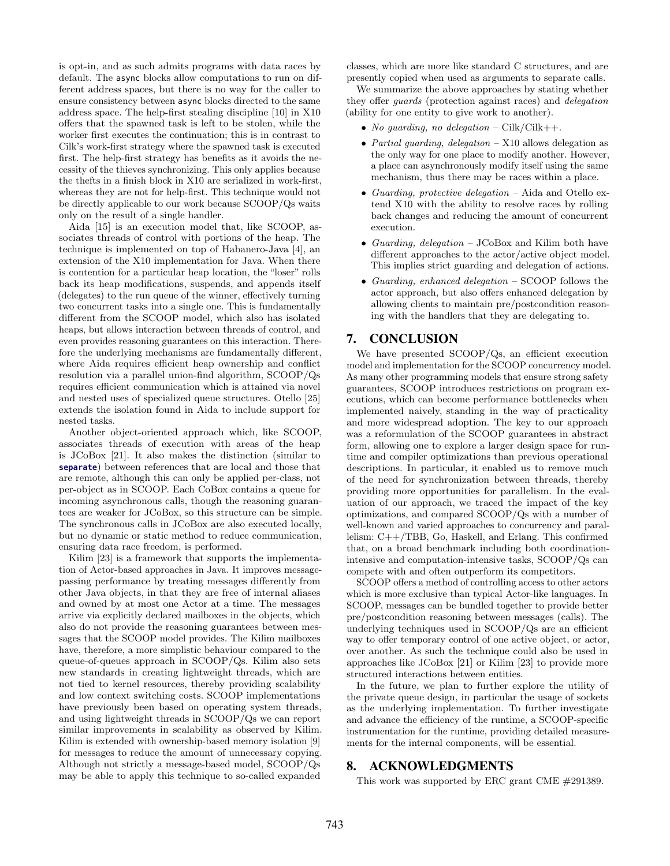is opt-in, and as such admits programs with data races by default. The async blocks allow computations to run on different address spaces, but there is no way for the caller to ensure consistency between async blocks directed to the same address space. The help-first stealing discipline [10] in X10 offers that the spawned task is left to be stolen, while the worker first executes the continuation; this is in contrast to Cilk's work-first strategy where the spawned task is executed first. The help-first strategy has benefits as it avoids the necessity of the thieves synchronizing. This only applies because the thefts in a finish block in X10 are serialized in work-first, whereas they are not for help-first. This technique would not be directly applicable to our work because SCOOP/Qs waits only on the result of a single handler.

Aida [15] is an execution model that, like SCOOP, associates threads of control with portions of the heap. The technique is implemented on top of Habanero-Java [4], an extension of the X10 implementation for Java. When there is contention for a particular heap location, the "loser" rolls back its heap modifications, suspends, and appends itself (delegates) to the run queue of the winner, effectively turning two concurrent tasks into a single one. This is fundamentally different from the SCOOP model, which also has isolated heaps, but allows interaction between threads of control, and even provides reasoning guarantees on this interaction. Therefore the underlying mechanisms are fundamentally different, where Aida requires efficient heap ownership and conflict resolution via a parallel union-find algorithm, SCOOP/Qs requires efficient communication which is attained via novel and nested uses of specialized queue structures. Otello [25] extends the isolation found in Aida to include support for nested tasks.

Another object-oriented approach which, like SCOOP, associates threads of execution with areas of the heap is JCoBox [21]. It also makes the distinction (similar to **separate**) between references that are local and those that are remote, although this can only be applied per-class, not per-object as in SCOOP. Each CoBox contains a queue for incoming asynchronous calls, though the reasoning guarantees are weaker for JCoBox, so this structure can be simple. The synchronous calls in JCoBox are also executed locally, but no dynamic or static method to reduce communication, ensuring data race freedom, is performed.

Kilim [23] is a framework that supports the implementation of Actor-based approaches in Java. It improves messagepassing performance by treating messages differently from other Java objects, in that they are free of internal aliases and owned by at most one Actor at a time. The messages arrive via explicitly declared mailboxes in the objects, which also do not provide the reasoning guarantees between messages that the SCOOP model provides. The Kilim mailboxes have, therefore, a more simplistic behaviour compared to the queue-of-queues approach in SCOOP/Qs. Kilim also sets new standards in creating lightweight threads, which are not tied to kernel resources, thereby providing scalability and low context switching costs. SCOOP implementations have previously been based on operating system threads, and using lightweight threads in SCOOP/Qs we can report similar improvements in scalability as observed by Kilim. Kilim is extended with ownership-based memory isolation [9] for messages to reduce the amount of unnecessary copying. Although not strictly a message-based model, SCOOP/Qs may be able to apply this technique to so-called expanded

classes, which are more like standard C structures, and are presently copied when used as arguments to separate calls.

We summarize the above approaches by stating whether they offer guards (protection against races) and delegation (ability for one entity to give work to another).

- No quarding, no delegation Cilk/Cilk++.
- Partial guarding, delegation  $-$  X10 allows delegation as the only way for one place to modify another. However, a place can asynchronously modify itself using the same mechanism, thus there may be races within a place.
- Guarding, protective delegation Aida and Otello extend X10 with the ability to resolve races by rolling back changes and reducing the amount of concurrent execution.
- Guarding, delegation JCoBox and Kilim both have different approaches to the actor/active object model. This implies strict guarding and delegation of actions.
- Guarding, enhanced delegation SCOOP follows the actor approach, but also offers enhanced delegation by allowing clients to maintain pre/postcondition reasoning with the handlers that they are delegating to.

## 7. CONCLUSION

We have presented SCOOP/Qs, an efficient execution model and implementation for the SCOOP concurrency model. As many other programming models that ensure strong safety guarantees, SCOOP introduces restrictions on program executions, which can become performance bottlenecks when implemented naively, standing in the way of practicality and more widespread adoption. The key to our approach was a reformulation of the SCOOP guarantees in abstract form, allowing one to explore a larger design space for runtime and compiler optimizations than previous operational descriptions. In particular, it enabled us to remove much of the need for synchronization between threads, thereby providing more opportunities for parallelism. In the evaluation of our approach, we traced the impact of the key optimizations, and compared SCOOP/Qs with a number of well-known and varied approaches to concurrency and parallelism: C++/TBB, Go, Haskell, and Erlang. This confirmed that, on a broad benchmark including both coordinationintensive and computation-intensive tasks, SCOOP/Qs can compete with and often outperform its competitors.

SCOOP offers a method of controlling access to other actors which is more exclusive than typical Actor-like languages. In SCOOP, messages can be bundled together to provide better pre/postcondition reasoning between messages (calls). The underlying techniques used in SCOOP/Qs are an efficient way to offer temporary control of one active object, or actor, over another. As such the technique could also be used in approaches like JCoBox [21] or Kilim [23] to provide more structured interactions between entities.

In the future, we plan to further explore the utility of the private queue design, in particular the usage of sockets as the underlying implementation. To further investigate and advance the efficiency of the runtime, a SCOOP-specific instrumentation for the runtime, providing detailed measurements for the internal components, will be essential.

# 8. ACKNOWLEDGMENTS

This work was supported by ERC grant CME #291389.